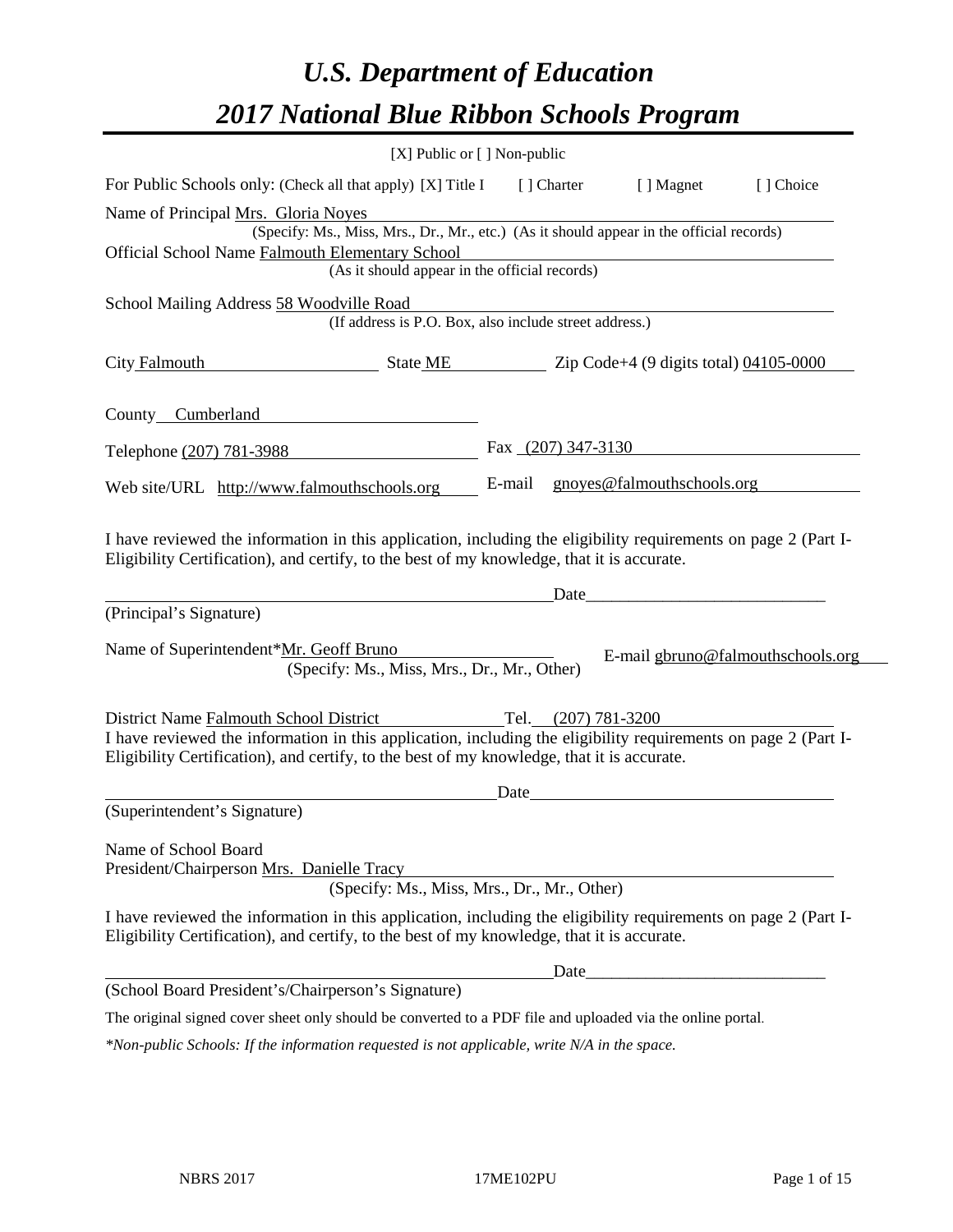# *U.S. Department of Education 2017 National Blue Ribbon Schools Program*

|                              | [X] Public or [] Non-public                                                                                                                                                                                                                            |        |                     |                            |                                   |
|------------------------------|--------------------------------------------------------------------------------------------------------------------------------------------------------------------------------------------------------------------------------------------------------|--------|---------------------|----------------------------|-----------------------------------|
|                              | For Public Schools only: (Check all that apply) [X] Title I                                                                                                                                                                                            |        | [ ] Charter         | [ ] Magnet                 | [ ] Choice                        |
|                              | Name of Principal Mrs. Gloria Noyes<br>(Specify: Ms., Miss, Mrs., Dr., Mr., etc.) (As it should appear in the official records)                                                                                                                        |        |                     |                            |                                   |
|                              | Official School Name Falmouth Elementary School                                                                                                                                                                                                        |        |                     |                            |                                   |
|                              | (As it should appear in the official records)                                                                                                                                                                                                          |        |                     |                            |                                   |
|                              | School Mailing Address 58 Woodville Road<br>(If address is P.O. Box, also include street address.)                                                                                                                                                     |        |                     |                            |                                   |
| City Falmouth                | State ME Zip Code+4 (9 digits total) 04105-0000                                                                                                                                                                                                        |        |                     |                            |                                   |
|                              | County Cumberland                                                                                                                                                                                                                                      |        |                     |                            |                                   |
| Telephone (207) 781-3988     |                                                                                                                                                                                                                                                        |        | Fax (207) 347-3130  |                            |                                   |
|                              | Web site/URL http://www.falmouthschools.org                                                                                                                                                                                                            | E-mail |                     | gnoyes@falmouthschools.org |                                   |
| (Principal's Signature)      | I have reviewed the information in this application, including the eligibility requirements on page 2 (Part I-<br>Eligibility Certification), and certify, to the best of my knowledge, that it is accurate.                                           |        | Date                |                            |                                   |
|                              | Name of Superintendent*Mr. Geoff Bruno<br>(Specify: Ms., Miss, Mrs., Dr., Mr., Other)                                                                                                                                                                  |        |                     |                            | E-mail gbruno@falmouthschools.org |
|                              | District Name Falmouth School District<br>I have reviewed the information in this application, including the eligibility requirements on page 2 (Part I-<br>Eligibility Certification), and certify, to the best of my knowledge, that it is accurate. |        | Tel. (207) 781-3200 |                            |                                   |
|                              |                                                                                                                                                                                                                                                        | Date   |                     |                            |                                   |
| (Superintendent's Signature) |                                                                                                                                                                                                                                                        |        |                     |                            |                                   |
| Name of School Board         | President/Chairperson Mrs. Danielle Tracy<br>(Specify: Ms., Miss, Mrs., Dr., Mr., Other)                                                                                                                                                               |        |                     |                            |                                   |
|                              | I have reviewed the information in this application, including the eligibility requirements on page 2 (Part I-<br>Eligibility Certification), and certify, to the best of my knowledge, that it is accurate.                                           |        |                     |                            |                                   |
|                              |                                                                                                                                                                                                                                                        |        | Date                |                            |                                   |
|                              | (School Board President's/Chairperson's Signature)                                                                                                                                                                                                     |        |                     |                            |                                   |
|                              | The original signed cover sheet only should be converted to a PDF file and uploaded via the online portal.                                                                                                                                             |        |                     |                            |                                   |

*\*Non-public Schools: If the information requested is not applicable, write N/A in the space.*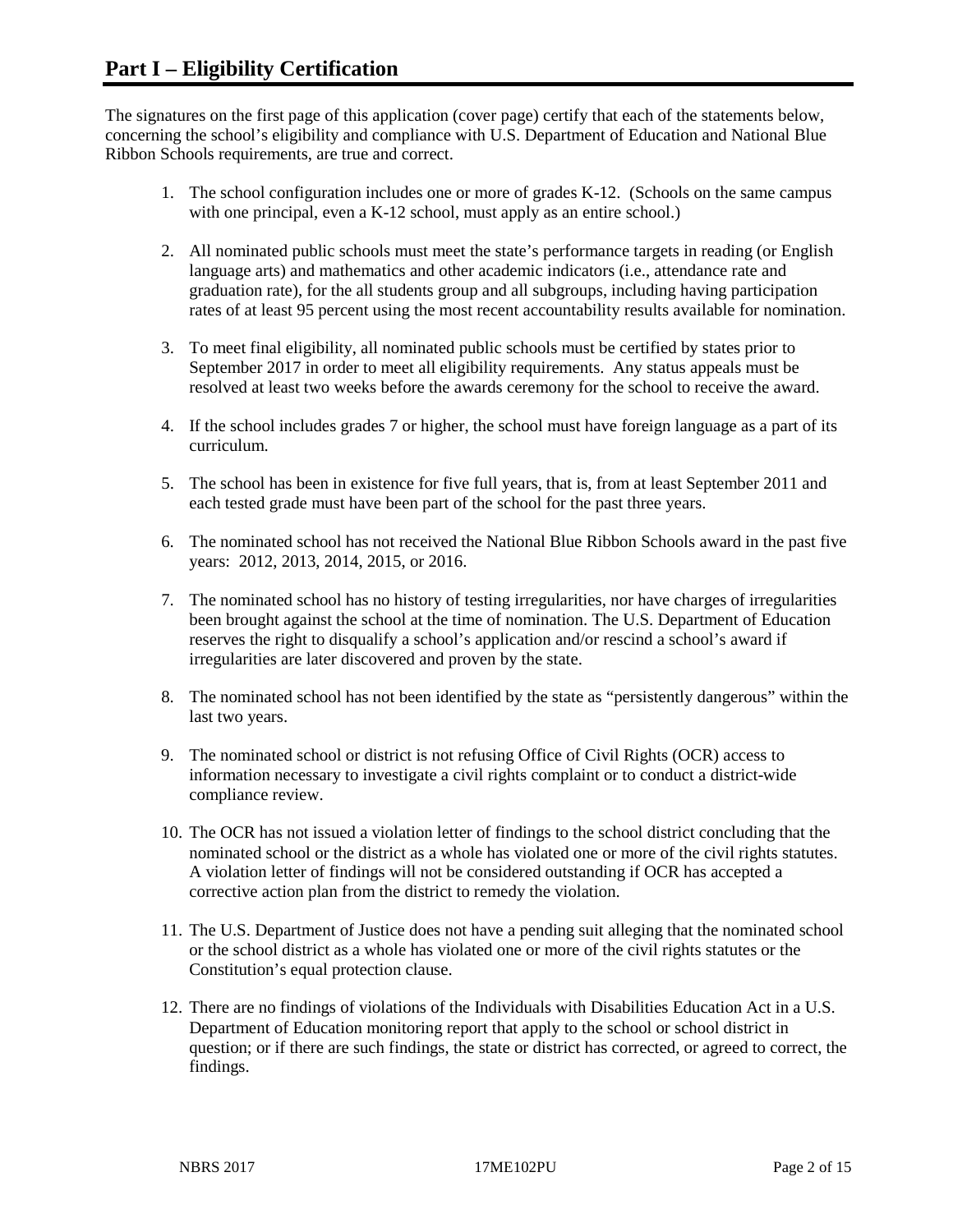The signatures on the first page of this application (cover page) certify that each of the statements below, concerning the school's eligibility and compliance with U.S. Department of Education and National Blue Ribbon Schools requirements, are true and correct.

- 1. The school configuration includes one or more of grades K-12. (Schools on the same campus with one principal, even a K-12 school, must apply as an entire school.)
- 2. All nominated public schools must meet the state's performance targets in reading (or English language arts) and mathematics and other academic indicators (i.e., attendance rate and graduation rate), for the all students group and all subgroups, including having participation rates of at least 95 percent using the most recent accountability results available for nomination.
- 3. To meet final eligibility, all nominated public schools must be certified by states prior to September 2017 in order to meet all eligibility requirements. Any status appeals must be resolved at least two weeks before the awards ceremony for the school to receive the award.
- 4. If the school includes grades 7 or higher, the school must have foreign language as a part of its curriculum.
- 5. The school has been in existence for five full years, that is, from at least September 2011 and each tested grade must have been part of the school for the past three years.
- 6. The nominated school has not received the National Blue Ribbon Schools award in the past five years: 2012, 2013, 2014, 2015, or 2016.
- 7. The nominated school has no history of testing irregularities, nor have charges of irregularities been brought against the school at the time of nomination. The U.S. Department of Education reserves the right to disqualify a school's application and/or rescind a school's award if irregularities are later discovered and proven by the state.
- 8. The nominated school has not been identified by the state as "persistently dangerous" within the last two years.
- 9. The nominated school or district is not refusing Office of Civil Rights (OCR) access to information necessary to investigate a civil rights complaint or to conduct a district-wide compliance review.
- 10. The OCR has not issued a violation letter of findings to the school district concluding that the nominated school or the district as a whole has violated one or more of the civil rights statutes. A violation letter of findings will not be considered outstanding if OCR has accepted a corrective action plan from the district to remedy the violation.
- 11. The U.S. Department of Justice does not have a pending suit alleging that the nominated school or the school district as a whole has violated one or more of the civil rights statutes or the Constitution's equal protection clause.
- 12. There are no findings of violations of the Individuals with Disabilities Education Act in a U.S. Department of Education monitoring report that apply to the school or school district in question; or if there are such findings, the state or district has corrected, or agreed to correct, the findings.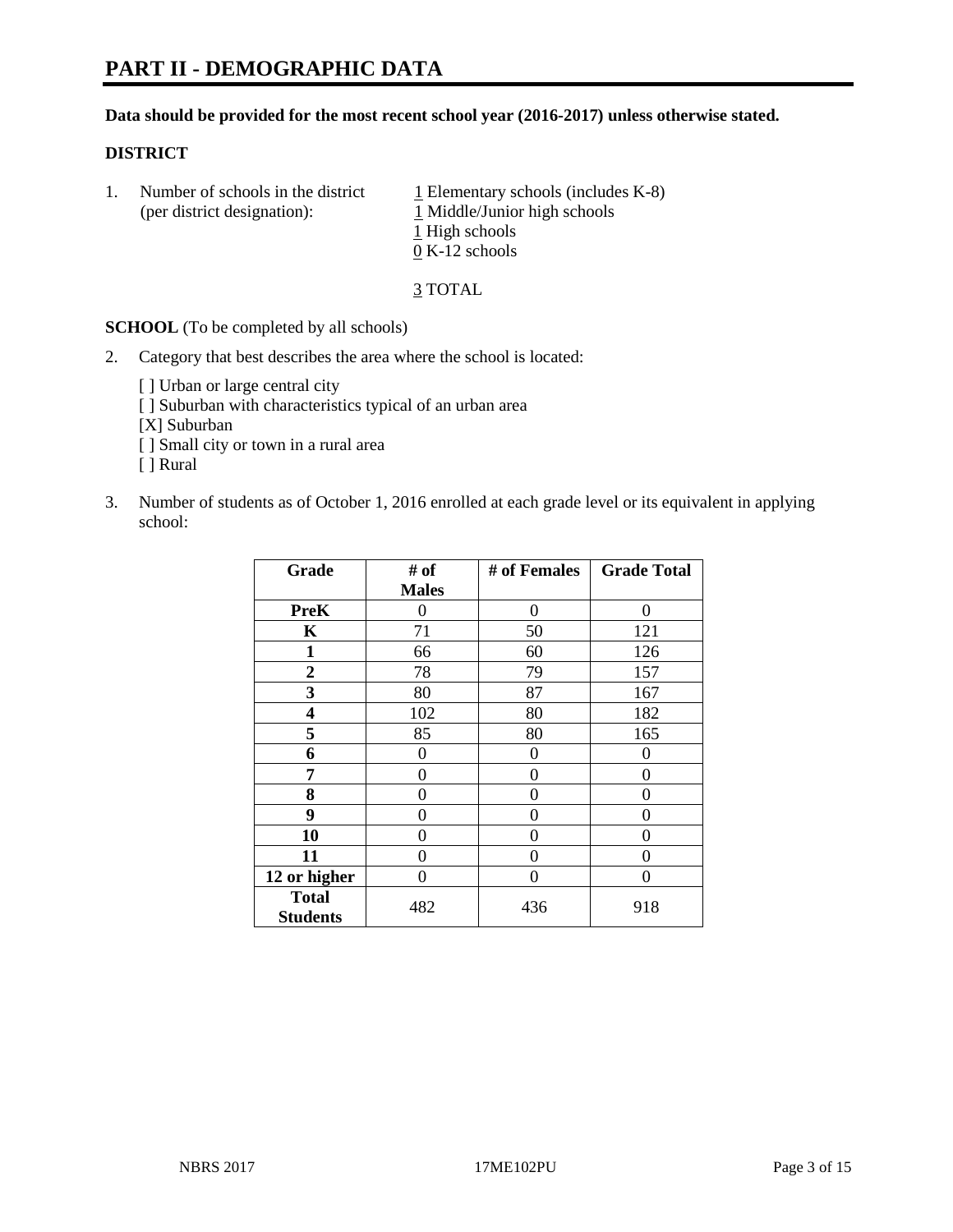#### **Data should be provided for the most recent school year (2016-2017) unless otherwise stated.**

#### **DISTRICT**

1. Number of schools in the district  $1$  Elementary schools (includes K-8) (per district designation): 1 Middle/Junior high schools 1 High schools 0 K-12 schools

3 TOTAL

**SCHOOL** (To be completed by all schools)

- 2. Category that best describes the area where the school is located:
	- [] Urban or large central city [ ] Suburban with characteristics typical of an urban area [X] Suburban [ ] Small city or town in a rural area [ ] Rural
- 3. Number of students as of October 1, 2016 enrolled at each grade level or its equivalent in applying school:

| Grade                           | # of         | # of Females | <b>Grade Total</b> |
|---------------------------------|--------------|--------------|--------------------|
|                                 | <b>Males</b> |              |                    |
| <b>PreK</b>                     | 0            | $\theta$     | 0                  |
| $\mathbf K$                     | 71           | 50           | 121                |
| 1                               | 66           | 60           | 126                |
| $\overline{2}$                  | 78           | 79           | 157                |
| 3                               | 80           | 87           | 167                |
| 4                               | 102          | 80           | 182                |
| 5                               | 85           | 80           | 165                |
| 6                               | 0            | 0            | $\mathbf{\Omega}$  |
| 7                               | 0            | 0            | 0                  |
| 8                               | 0            | 0            | 0                  |
| 9                               | 0            | 0            | 0                  |
| 10                              | 0            | 0            | 0                  |
| 11                              | 0            | 0            | $\mathbf{\Omega}$  |
| 12 or higher                    | 0            | 0            | 0                  |
| <b>Total</b><br><b>Students</b> | 482          | 436          | 918                |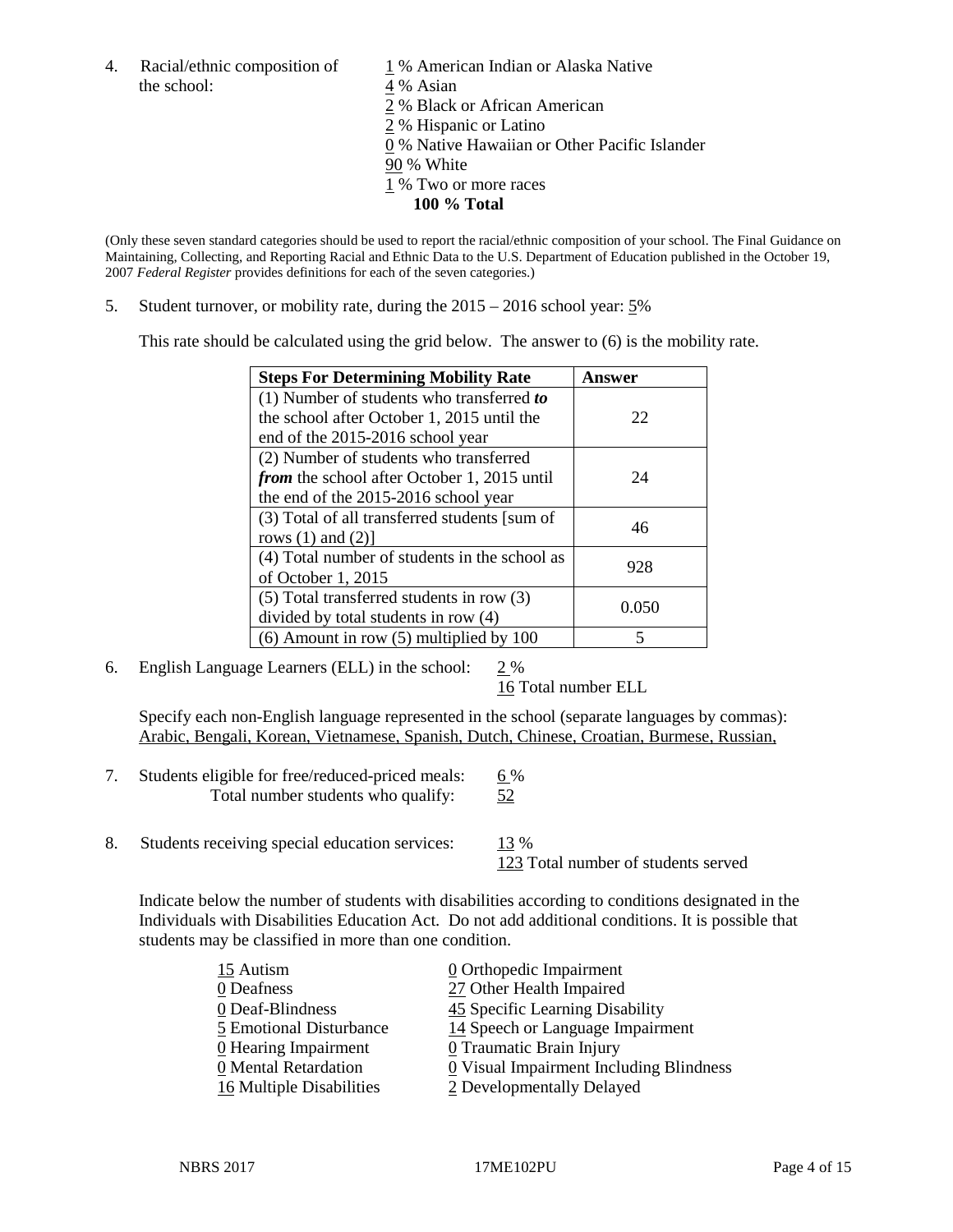4. Racial/ethnic composition of  $1\%$  American Indian or Alaska Native the school:  $4\%$  Asian

 % Black or African American % Hispanic or Latino % Native Hawaiian or Other Pacific Islander 90 % White % Two or more races **100 % Total**

(Only these seven standard categories should be used to report the racial/ethnic composition of your school. The Final Guidance on Maintaining, Collecting, and Reporting Racial and Ethnic Data to the U.S. Department of Education published in the October 19, 2007 *Federal Register* provides definitions for each of the seven categories.)

5. Student turnover, or mobility rate, during the 2015 – 2016 school year: 5%

This rate should be calculated using the grid below. The answer to (6) is the mobility rate.

| <b>Steps For Determining Mobility Rate</b>         | Answer |  |
|----------------------------------------------------|--------|--|
| (1) Number of students who transferred to          |        |  |
| the school after October 1, 2015 until the         | 22     |  |
| end of the 2015-2016 school year                   |        |  |
| (2) Number of students who transferred             |        |  |
| <i>from</i> the school after October 1, 2015 until | 24     |  |
| the end of the 2015-2016 school year               |        |  |
| (3) Total of all transferred students [sum of      | 46     |  |
| rows $(1)$ and $(2)$ ]                             |        |  |
| (4) Total number of students in the school as      | 928    |  |
| of October 1, 2015                                 |        |  |
| (5) Total transferred students in row (3)          | 0.050  |  |
| divided by total students in row (4)               |        |  |
| $(6)$ Amount in row $(5)$ multiplied by 100        | 5      |  |

6. English Language Learners (ELL) in the school:  $2\%$ 

16 Total number ELL

Specify each non-English language represented in the school (separate languages by commas): Arabic, Bengali, Korean, Vietnamese, Spanish, Dutch, Chinese, Croatian, Burmese, Russian,

- 7. Students eligible for free/reduced-priced meals: 6 % Total number students who qualify: 52
- 8. Students receiving special education services: 13 %

123 Total number of students served

Indicate below the number of students with disabilities according to conditions designated in the Individuals with Disabilities Education Act. Do not add additional conditions. It is possible that students may be classified in more than one condition.

| 15 Autism                | 0 Orthopedic Impairment                 |
|--------------------------|-----------------------------------------|
| 0 Deafness               | 27 Other Health Impaired                |
| 0 Deaf-Blindness         | 45 Specific Learning Disability         |
| 5 Emotional Disturbance  | 14 Speech or Language Impairment        |
| 0 Hearing Impairment     | 0 Traumatic Brain Injury                |
| 0 Mental Retardation     | 0 Visual Impairment Including Blindness |
| 16 Multiple Disabilities | 2 Developmentally Delayed               |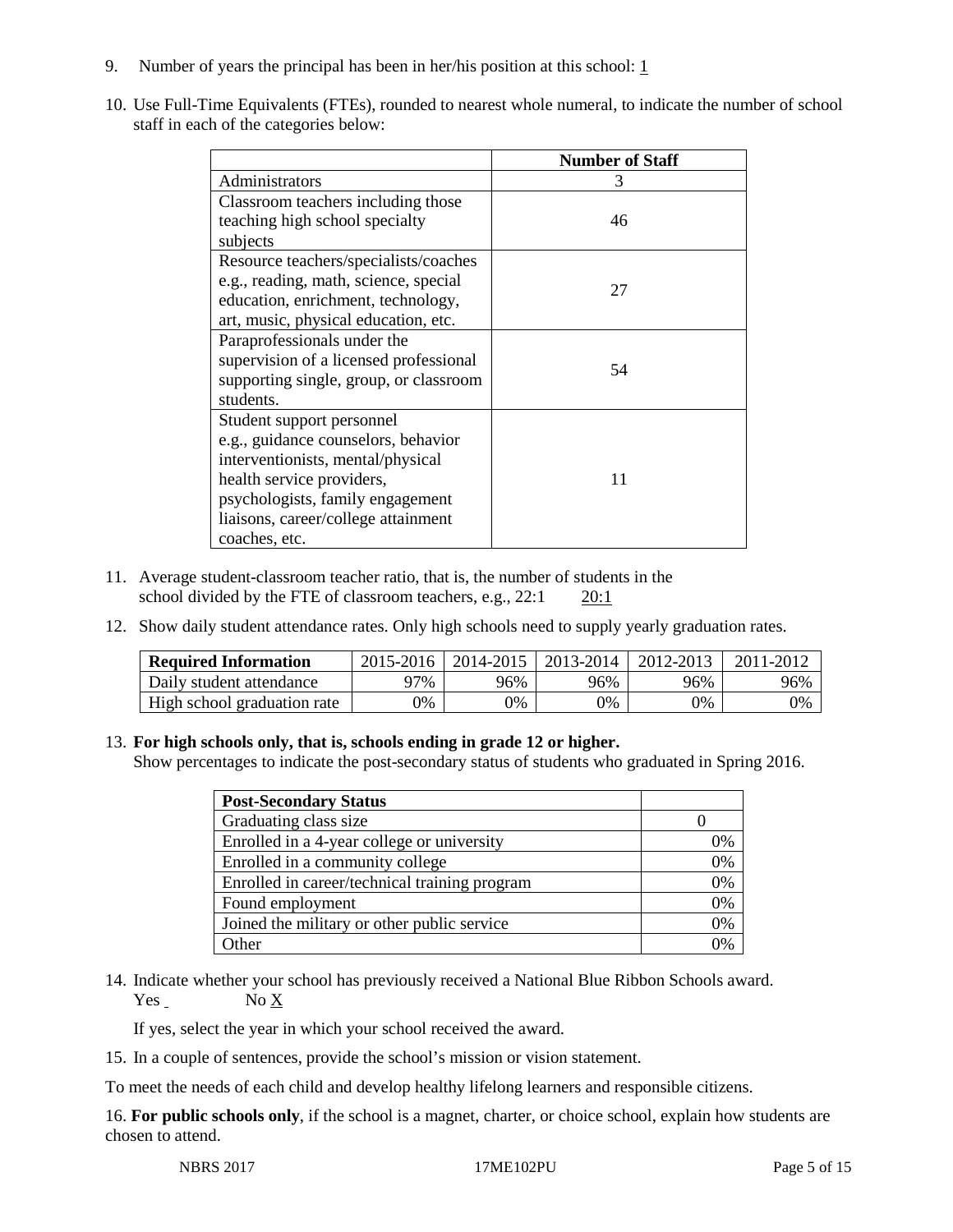- 9. Number of years the principal has been in her/his position at this school:  $1$
- 10. Use Full-Time Equivalents (FTEs), rounded to nearest whole numeral, to indicate the number of school staff in each of the categories below:

|                                        | <b>Number of Staff</b> |
|----------------------------------------|------------------------|
| Administrators                         | 3                      |
| Classroom teachers including those     |                        |
| teaching high school specialty         | 46                     |
| subjects                               |                        |
| Resource teachers/specialists/coaches  |                        |
| e.g., reading, math, science, special  | 27                     |
| education, enrichment, technology,     |                        |
| art, music, physical education, etc.   |                        |
| Paraprofessionals under the            |                        |
| supervision of a licensed professional | 54                     |
| supporting single, group, or classroom |                        |
| students.                              |                        |
| Student support personnel              |                        |
| e.g., guidance counselors, behavior    |                        |
| interventionists, mental/physical      |                        |
| health service providers,              | 11                     |
| psychologists, family engagement       |                        |
| liaisons, career/college attainment    |                        |
| coaches, etc.                          |                        |

- 11. Average student-classroom teacher ratio, that is, the number of students in the school divided by the FTE of classroom teachers, e.g., 22:1 20:1
- 12. Show daily student attendance rates. Only high schools need to supply yearly graduation rates.

| <b>Required Information</b> | 2015-2016 | 2014-2015 | 2013-2014 | 2012-2013 |     |
|-----------------------------|-----------|-----------|-----------|-----------|-----|
| Daily student attendance    | า7%       | 96%       | 96%       | 96%       | 96% |
| High school graduation rate | 0%        | 0%        | 0%        | 9%        | 0%  |

#### 13. **For high schools only, that is, schools ending in grade 12 or higher.**

Show percentages to indicate the post-secondary status of students who graduated in Spring 2016.

| <b>Post-Secondary Status</b>                  |    |
|-----------------------------------------------|----|
| Graduating class size                         |    |
| Enrolled in a 4-year college or university    | 0% |
| Enrolled in a community college               | 0% |
| Enrolled in career/technical training program | 0% |
| Found employment                              | 0% |
| Joined the military or other public service   | 0% |
| Other                                         |    |

14. Indicate whether your school has previously received a National Blue Ribbon Schools award.  $Yes$  No  $X$ 

If yes, select the year in which your school received the award.

15. In a couple of sentences, provide the school's mission or vision statement.

To meet the needs of each child and develop healthy lifelong learners and responsible citizens.

16. **For public schools only**, if the school is a magnet, charter, or choice school, explain how students are chosen to attend.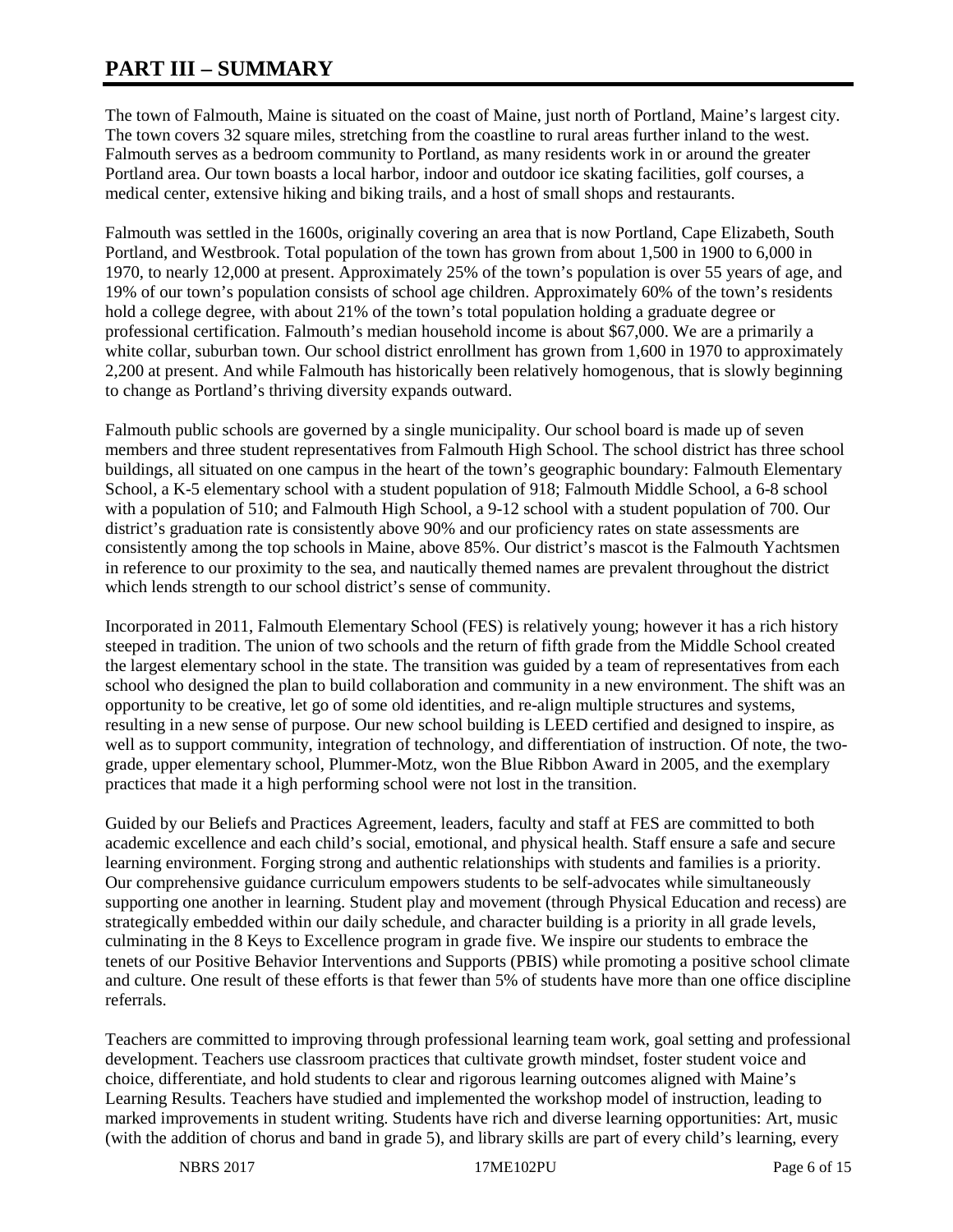# **PART III – SUMMARY**

The town of Falmouth, Maine is situated on the coast of Maine, just north of Portland, Maine's largest city. The town covers 32 square miles, stretching from the coastline to rural areas further inland to the west. Falmouth serves as a bedroom community to Portland, as many residents work in or around the greater Portland area. Our town boasts a local harbor, indoor and outdoor ice skating facilities, golf courses, a medical center, extensive hiking and biking trails, and a host of small shops and restaurants.

Falmouth was settled in the 1600s, originally covering an area that is now Portland, Cape Elizabeth, South Portland, and Westbrook. Total population of the town has grown from about 1,500 in 1900 to 6,000 in 1970, to nearly 12,000 at present. Approximately 25% of the town's population is over 55 years of age, and 19% of our town's population consists of school age children. Approximately 60% of the town's residents hold a college degree, with about 21% of the town's total population holding a graduate degree or professional certification. Falmouth's median household income is about \$67,000. We are a primarily a white collar, suburban town. Our school district enrollment has grown from 1,600 in 1970 to approximately 2,200 at present. And while Falmouth has historically been relatively homogenous, that is slowly beginning to change as Portland's thriving diversity expands outward.

Falmouth public schools are governed by a single municipality. Our school board is made up of seven members and three student representatives from Falmouth High School. The school district has three school buildings, all situated on one campus in the heart of the town's geographic boundary: Falmouth Elementary School, a K-5 elementary school with a student population of 918; Falmouth Middle School, a 6-8 school with a population of 510; and Falmouth High School, a 9-12 school with a student population of 700. Our district's graduation rate is consistently above 90% and our proficiency rates on state assessments are consistently among the top schools in Maine, above 85%. Our district's mascot is the Falmouth Yachtsmen in reference to our proximity to the sea, and nautically themed names are prevalent throughout the district which lends strength to our school district's sense of community.

Incorporated in 2011, Falmouth Elementary School (FES) is relatively young; however it has a rich history steeped in tradition. The union of two schools and the return of fifth grade from the Middle School created the largest elementary school in the state. The transition was guided by a team of representatives from each school who designed the plan to build collaboration and community in a new environment. The shift was an opportunity to be creative, let go of some old identities, and re-align multiple structures and systems, resulting in a new sense of purpose. Our new school building is LEED certified and designed to inspire, as well as to support community, integration of technology, and differentiation of instruction. Of note, the twograde, upper elementary school, Plummer-Motz, won the Blue Ribbon Award in 2005, and the exemplary practices that made it a high performing school were not lost in the transition.

Guided by our Beliefs and Practices Agreement, leaders, faculty and staff at FES are committed to both academic excellence and each child's social, emotional, and physical health. Staff ensure a safe and secure learning environment. Forging strong and authentic relationships with students and families is a priority. Our comprehensive guidance curriculum empowers students to be self-advocates while simultaneously supporting one another in learning. Student play and movement (through Physical Education and recess) are strategically embedded within our daily schedule, and character building is a priority in all grade levels, culminating in the 8 Keys to Excellence program in grade five. We inspire our students to embrace the tenets of our Positive Behavior Interventions and Supports (PBIS) while promoting a positive school climate and culture. One result of these efforts is that fewer than 5% of students have more than one office discipline referrals.

Teachers are committed to improving through professional learning team work, goal setting and professional development. Teachers use classroom practices that cultivate growth mindset, foster student voice and choice, differentiate, and hold students to clear and rigorous learning outcomes aligned with Maine's Learning Results. Teachers have studied and implemented the workshop model of instruction, leading to marked improvements in student writing. Students have rich and diverse learning opportunities: Art, music (with the addition of chorus and band in grade 5), and library skills are part of every child's learning, every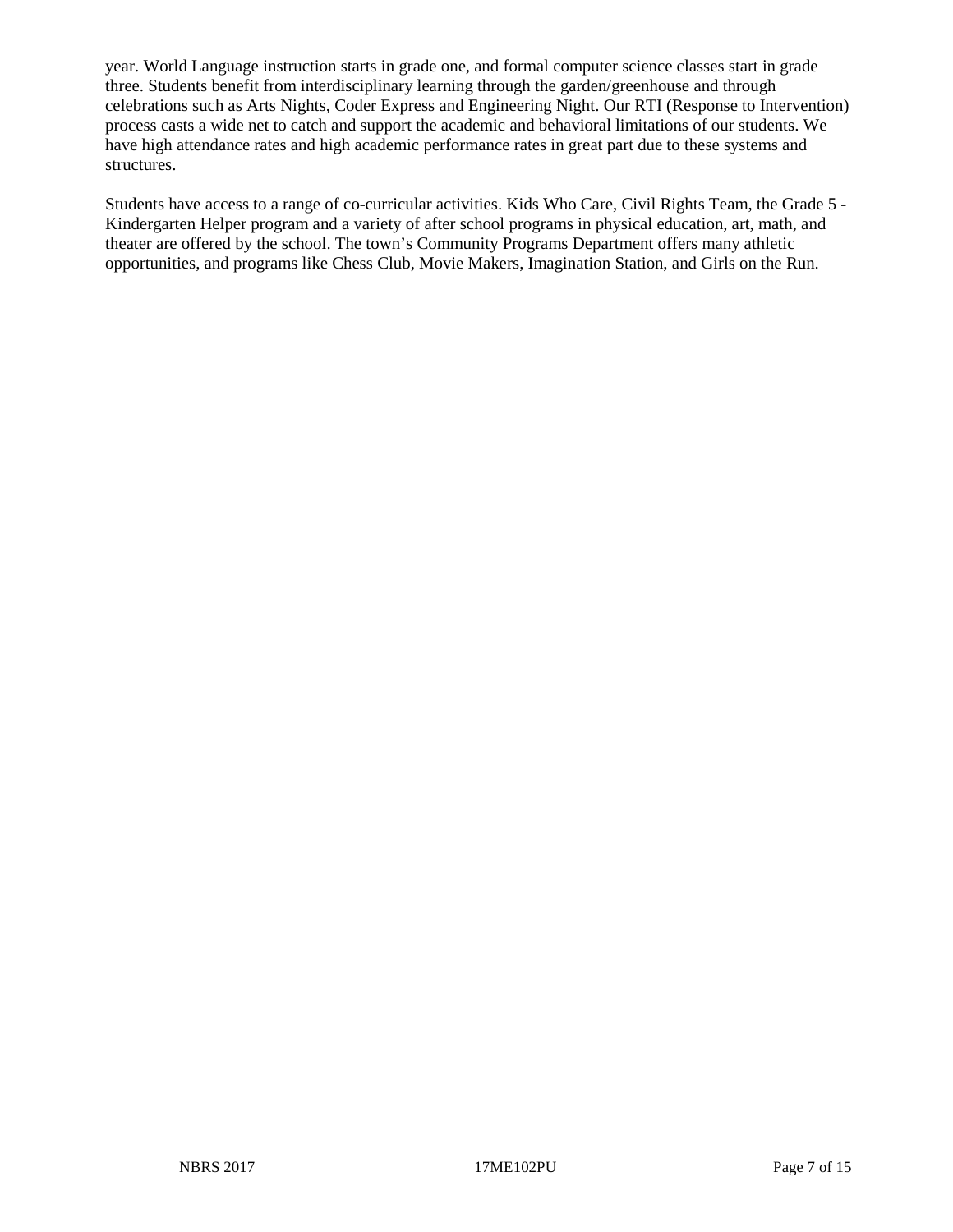year. World Language instruction starts in grade one, and formal computer science classes start in grade three. Students benefit from interdisciplinary learning through the garden/greenhouse and through celebrations such as Arts Nights, Coder Express and Engineering Night. Our RTI (Response to Intervention) process casts a wide net to catch and support the academic and behavioral limitations of our students. We have high attendance rates and high academic performance rates in great part due to these systems and structures.

Students have access to a range of co-curricular activities. Kids Who Care, Civil Rights Team, the Grade 5 - Kindergarten Helper program and a variety of after school programs in physical education, art, math, and theater are offered by the school. The town's Community Programs Department offers many athletic opportunities, and programs like Chess Club, Movie Makers, Imagination Station, and Girls on the Run.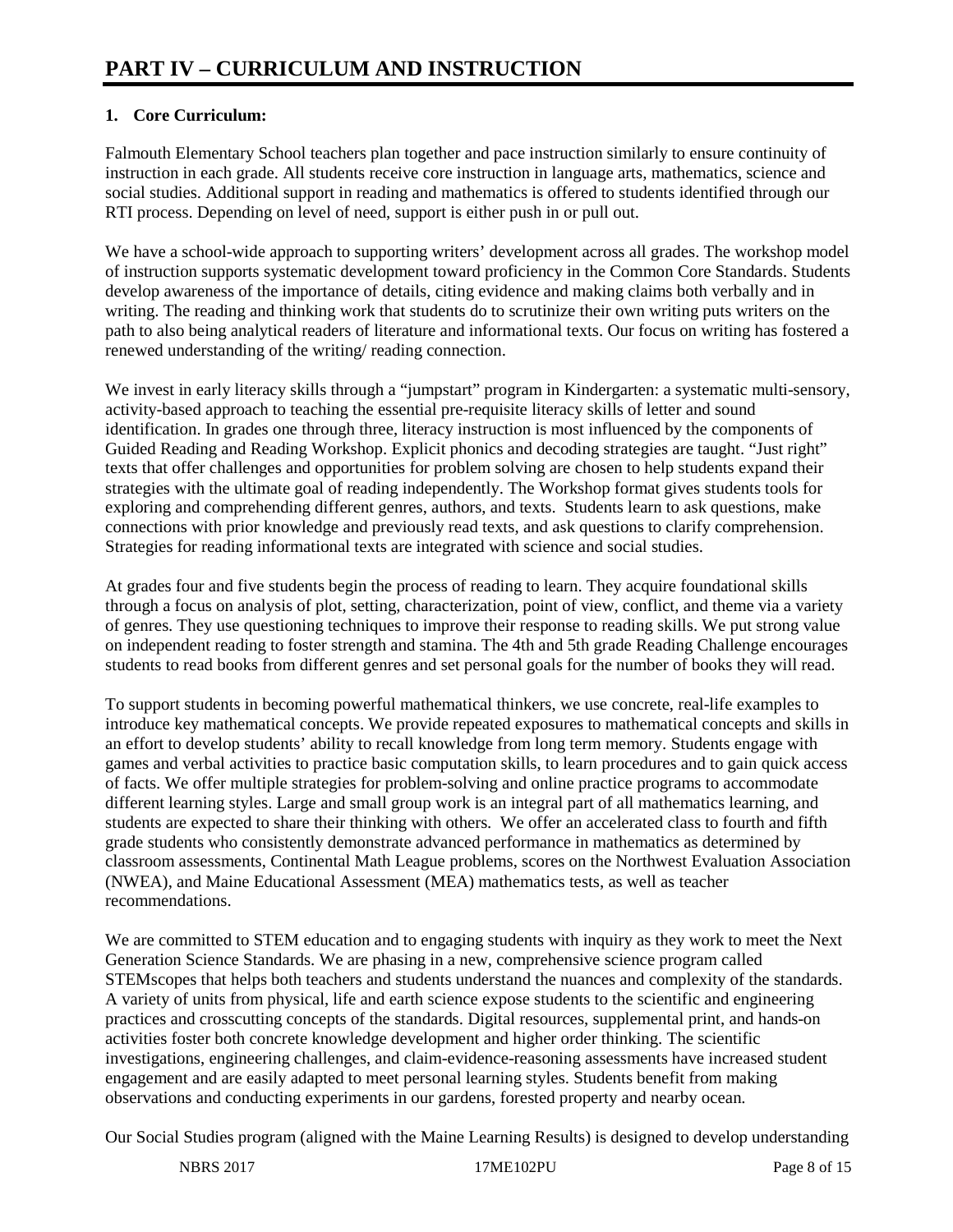## **1. Core Curriculum:**

Falmouth Elementary School teachers plan together and pace instruction similarly to ensure continuity of instruction in each grade. All students receive core instruction in language arts, mathematics, science and social studies. Additional support in reading and mathematics is offered to students identified through our RTI process. Depending on level of need, support is either push in or pull out.

We have a school-wide approach to supporting writers' development across all grades. The workshop model of instruction supports systematic development toward proficiency in the Common Core Standards. Students develop awareness of the importance of details, citing evidence and making claims both verbally and in writing. The reading and thinking work that students do to scrutinize their own writing puts writers on the path to also being analytical readers of literature and informational texts. Our focus on writing has fostered a renewed understanding of the writing/ reading connection.

We invest in early literacy skills through a "jumpstart" program in Kindergarten: a systematic multi-sensory, activity-based approach to teaching the essential pre-requisite literacy skills of letter and sound identification. In grades one through three, literacy instruction is most influenced by the components of Guided Reading and Reading Workshop. Explicit phonics and decoding strategies are taught. "Just right" texts that offer challenges and opportunities for problem solving are chosen to help students expand their strategies with the ultimate goal of reading independently. The Workshop format gives students tools for exploring and comprehending different genres, authors, and texts. Students learn to ask questions, make connections with prior knowledge and previously read texts, and ask questions to clarify comprehension. Strategies for reading informational texts are integrated with science and social studies.

At grades four and five students begin the process of reading to learn. They acquire foundational skills through a focus on analysis of plot, setting, characterization, point of view, conflict, and theme via a variety of genres. They use questioning techniques to improve their response to reading skills. We put strong value on independent reading to foster strength and stamina. The 4th and 5th grade Reading Challenge encourages students to read books from different genres and set personal goals for the number of books they will read.

To support students in becoming powerful mathematical thinkers, we use concrete, real-life examples to introduce key mathematical concepts. We provide repeated exposures to mathematical concepts and skills in an effort to develop students' ability to recall knowledge from long term memory. Students engage with games and verbal activities to practice basic computation skills, to learn procedures and to gain quick access of facts. We offer multiple strategies for problem-solving and online practice programs to accommodate different learning styles. Large and small group work is an integral part of all mathematics learning, and students are expected to share their thinking with others. We offer an accelerated class to fourth and fifth grade students who consistently demonstrate advanced performance in mathematics as determined by classroom assessments, Continental Math League problems, scores on the Northwest Evaluation Association (NWEA), and Maine Educational Assessment (MEA) mathematics tests, as well as teacher recommendations.

We are committed to STEM education and to engaging students with inquiry as they work to meet the Next Generation Science Standards. We are phasing in a new, comprehensive science program called STEMscopes that helps both teachers and students understand the nuances and complexity of the standards. A variety of units from physical, life and earth science expose students to the scientific and engineering practices and crosscutting concepts of the standards. Digital resources, supplemental print, and hands-on activities foster both concrete knowledge development and higher order thinking. The scientific investigations, engineering challenges, and claim-evidence-reasoning assessments have increased student engagement and are easily adapted to meet personal learning styles. Students benefit from making observations and conducting experiments in our gardens, forested property and nearby ocean.

Our Social Studies program (aligned with the Maine Learning Results) is designed to develop understanding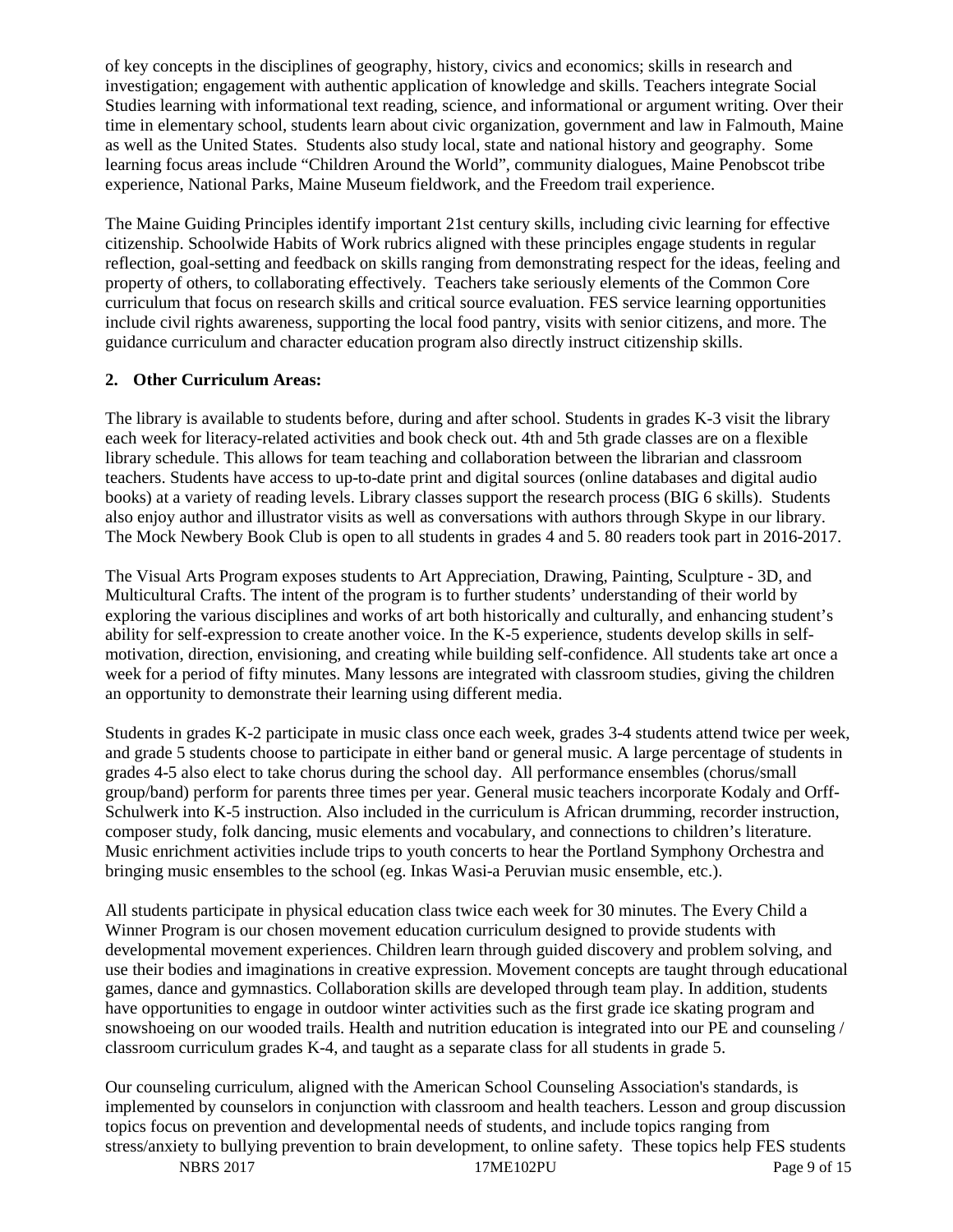of key concepts in the disciplines of geography, history, civics and economics; skills in research and investigation; engagement with authentic application of knowledge and skills. Teachers integrate Social Studies learning with informational text reading, science, and informational or argument writing. Over their time in elementary school, students learn about civic organization, government and law in Falmouth, Maine as well as the United States. Students also study local, state and national history and geography. Some learning focus areas include "Children Around the World", community dialogues, Maine Penobscot tribe experience, National Parks, Maine Museum fieldwork, and the Freedom trail experience.

The Maine Guiding Principles identify important 21st century skills, including civic learning for effective citizenship. Schoolwide Habits of Work rubrics aligned with these principles engage students in regular reflection, goal-setting and feedback on skills ranging from demonstrating respect for the ideas, feeling and property of others, to collaborating effectively. Teachers take seriously elements of the Common Core curriculum that focus on research skills and critical source evaluation. FES service learning opportunities include civil rights awareness, supporting the local food pantry, visits with senior citizens, and more. The guidance curriculum and character education program also directly instruct citizenship skills.

#### **2. Other Curriculum Areas:**

The library is available to students before, during and after school. Students in grades K-3 visit the library each week for literacy-related activities and book check out. 4th and 5th grade classes are on a flexible library schedule. This allows for team teaching and collaboration between the librarian and classroom teachers. Students have access to up-to-date print and digital sources (online databases and digital audio books) at a variety of reading levels. Library classes support the research process (BIG 6 skills). Students also enjoy author and illustrator visits as well as conversations with authors through Skype in our library. The Mock Newbery Book Club is open to all students in grades 4 and 5. 80 readers took part in 2016-2017.

The Visual Arts Program exposes students to Art Appreciation, Drawing, Painting, Sculpture - 3D, and Multicultural Crafts. The intent of the program is to further students' understanding of their world by exploring the various disciplines and works of art both historically and culturally, and enhancing student's ability for self-expression to create another voice. In the K-5 experience, students develop skills in selfmotivation, direction, envisioning, and creating while building self-confidence. All students take art once a week for a period of fifty minutes. Many lessons are integrated with classroom studies, giving the children an opportunity to demonstrate their learning using different media.

Students in grades K-2 participate in music class once each week, grades 3-4 students attend twice per week, and grade 5 students choose to participate in either band or general music. A large percentage of students in grades 4-5 also elect to take chorus during the school day. All performance ensembles (chorus/small group/band) perform for parents three times per year. General music teachers incorporate Kodaly and Orff-Schulwerk into K-5 instruction. Also included in the curriculum is African drumming, recorder instruction, composer study, folk dancing, music elements and vocabulary, and connections to children's literature. Music enrichment activities include trips to youth concerts to hear the Portland Symphony Orchestra and bringing music ensembles to the school (eg. Inkas Wasi-a Peruvian music ensemble, etc.).

All students participate in physical education class twice each week for 30 minutes. The Every Child a Winner Program is our chosen movement education curriculum designed to provide students with developmental movement experiences. Children learn through guided discovery and problem solving, and use their bodies and imaginations in creative expression. Movement concepts are taught through educational games, dance and gymnastics. Collaboration skills are developed through team play. In addition, students have opportunities to engage in outdoor winter activities such as the first grade ice skating program and snowshoeing on our wooded trails. Health and nutrition education is integrated into our PE and counseling / classroom curriculum grades K-4, and taught as a separate class for all students in grade 5.

Our counseling curriculum, aligned with the American School Counseling Association's standards, is implemented by counselors in conjunction with classroom and health teachers. Lesson and group discussion topics focus on prevention and developmental needs of students, and include topics ranging from stress/anxiety to bullying prevention to brain development, to online safety. These topics help FES students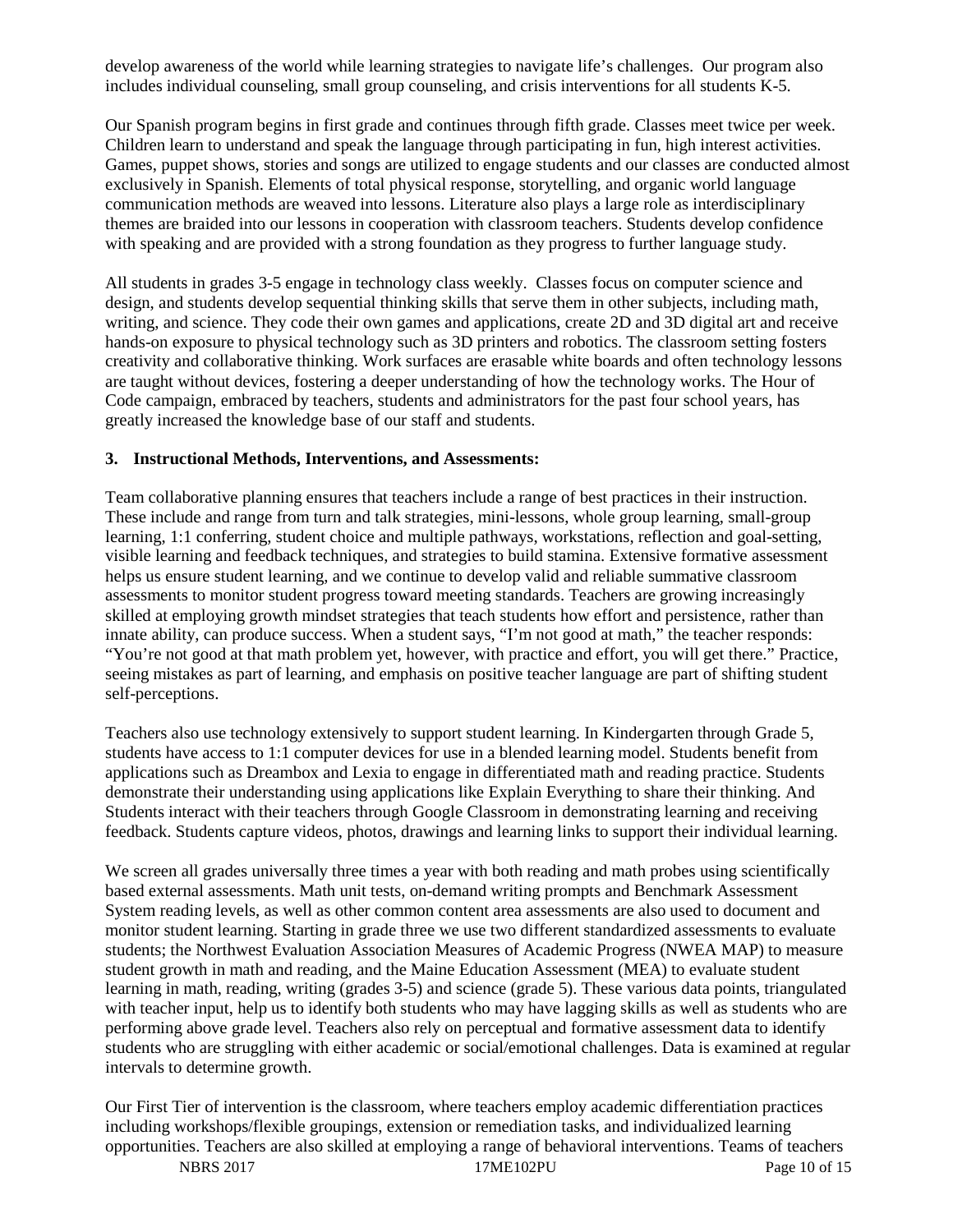develop awareness of the world while learning strategies to navigate life's challenges. Our program also includes individual counseling, small group counseling, and crisis interventions for all students K-5.

Our Spanish program begins in first grade and continues through fifth grade. Classes meet twice per week. Children learn to understand and speak the language through participating in fun, high interest activities. Games, puppet shows, stories and songs are utilized to engage students and our classes are conducted almost exclusively in Spanish. Elements of total physical response, storytelling, and organic world language communication methods are weaved into lessons. Literature also plays a large role as interdisciplinary themes are braided into our lessons in cooperation with classroom teachers. Students develop confidence with speaking and are provided with a strong foundation as they progress to further language study.

All students in grades 3-5 engage in technology class weekly. Classes focus on computer science and design, and students develop sequential thinking skills that serve them in other subjects, including math, writing, and science. They code their own games and applications, create 2D and 3D digital art and receive hands-on exposure to physical technology such as 3D printers and robotics. The classroom setting fosters creativity and collaborative thinking. Work surfaces are erasable white boards and often technology lessons are taught without devices, fostering a deeper understanding of how the technology works. The Hour of Code campaign, embraced by teachers, students and administrators for the past four school years, has greatly increased the knowledge base of our staff and students.

#### **3. Instructional Methods, Interventions, and Assessments:**

Team collaborative planning ensures that teachers include a range of best practices in their instruction. These include and range from turn and talk strategies, mini-lessons, whole group learning, small-group learning, 1:1 conferring, student choice and multiple pathways, workstations, reflection and goal-setting, visible learning and feedback techniques, and strategies to build stamina. Extensive formative assessment helps us ensure student learning, and we continue to develop valid and reliable summative classroom assessments to monitor student progress toward meeting standards. Teachers are growing increasingly skilled at employing growth mindset strategies that teach students how effort and persistence, rather than innate ability, can produce success. When a student says, "I'm not good at math," the teacher responds: "You're not good at that math problem yet, however, with practice and effort, you will get there." Practice, seeing mistakes as part of learning, and emphasis on positive teacher language are part of shifting student self-perceptions.

Teachers also use technology extensively to support student learning. In Kindergarten through Grade 5, students have access to 1:1 computer devices for use in a blended learning model. Students benefit from applications such as Dreambox and Lexia to engage in differentiated math and reading practice. Students demonstrate their understanding using applications like Explain Everything to share their thinking. And Students interact with their teachers through Google Classroom in demonstrating learning and receiving feedback. Students capture videos, photos, drawings and learning links to support their individual learning.

We screen all grades universally three times a year with both reading and math probes using scientifically based external assessments. Math unit tests, on-demand writing prompts and Benchmark Assessment System reading levels, as well as other common content area assessments are also used to document and monitor student learning. Starting in grade three we use two different standardized assessments to evaluate students; the Northwest Evaluation Association Measures of Academic Progress (NWEA MAP) to measure student growth in math and reading, and the Maine Education Assessment (MEA) to evaluate student learning in math, reading, writing (grades 3-5) and science (grade 5). These various data points, triangulated with teacher input, help us to identify both students who may have lagging skills as well as students who are performing above grade level. Teachers also rely on perceptual and formative assessment data to identify students who are struggling with either academic or social/emotional challenges. Data is examined at regular intervals to determine growth.

Our First Tier of intervention is the classroom, where teachers employ academic differentiation practices including workshops/flexible groupings, extension or remediation tasks, and individualized learning opportunities. Teachers are also skilled at employing a range of behavioral interventions. Teams of teachers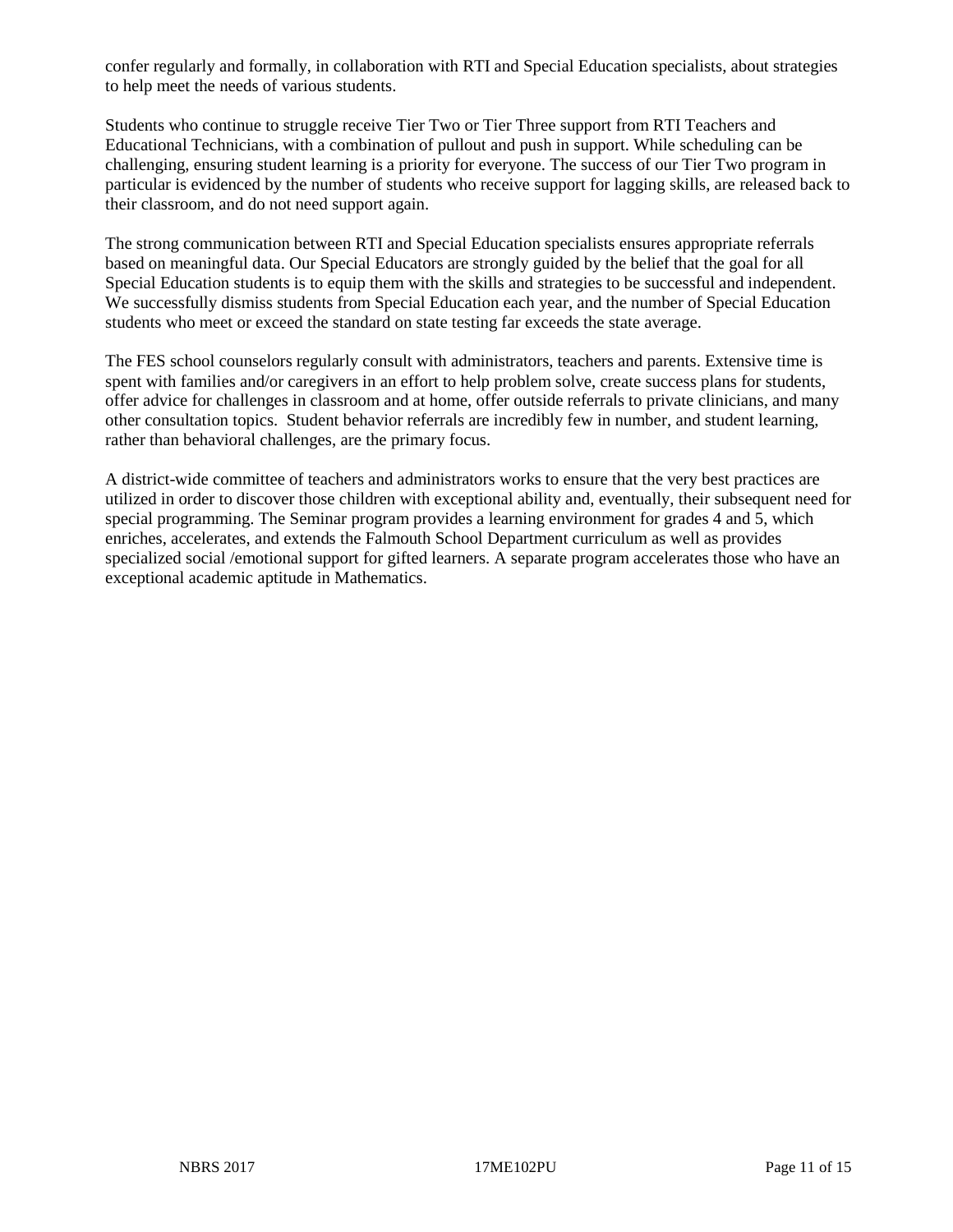confer regularly and formally, in collaboration with RTI and Special Education specialists, about strategies to help meet the needs of various students.

Students who continue to struggle receive Tier Two or Tier Three support from RTI Teachers and Educational Technicians, with a combination of pullout and push in support. While scheduling can be challenging, ensuring student learning is a priority for everyone. The success of our Tier Two program in particular is evidenced by the number of students who receive support for lagging skills, are released back to their classroom, and do not need support again.

The strong communication between RTI and Special Education specialists ensures appropriate referrals based on meaningful data. Our Special Educators are strongly guided by the belief that the goal for all Special Education students is to equip them with the skills and strategies to be successful and independent. We successfully dismiss students from Special Education each year, and the number of Special Education students who meet or exceed the standard on state testing far exceeds the state average.

The FES school counselors regularly consult with administrators, teachers and parents. Extensive time is spent with families and/or caregivers in an effort to help problem solve, create success plans for students, offer advice for challenges in classroom and at home, offer outside referrals to private clinicians, and many other consultation topics. Student behavior referrals are incredibly few in number, and student learning, rather than behavioral challenges, are the primary focus.

A district-wide committee of teachers and administrators works to ensure that the very best practices are utilized in order to discover those children with exceptional ability and, eventually, their subsequent need for special programming. The Seminar program provides a learning environment for grades 4 and 5, which enriches, accelerates, and extends the Falmouth School Department curriculum as well as provides specialized social /emotional support for gifted learners. A separate program accelerates those who have an exceptional academic aptitude in Mathematics.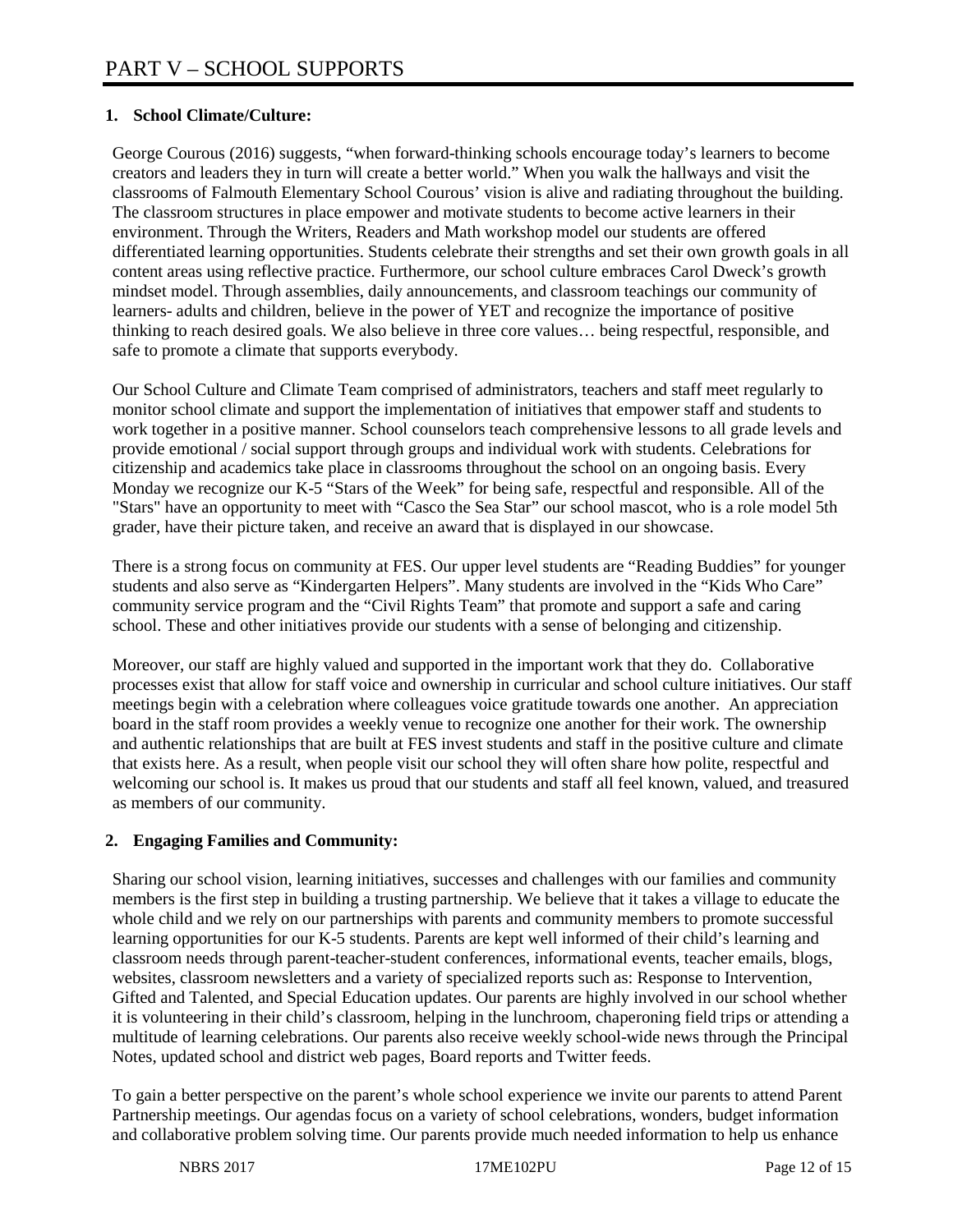## **1. School Climate/Culture:**

George Courous (2016) suggests, "when forward-thinking schools encourage today's learners to become creators and leaders they in turn will create a better world." When you walk the hallways and visit the classrooms of Falmouth Elementary School Courous' vision is alive and radiating throughout the building. The classroom structures in place empower and motivate students to become active learners in their environment. Through the Writers, Readers and Math workshop model our students are offered differentiated learning opportunities. Students celebrate their strengths and set their own growth goals in all content areas using reflective practice. Furthermore, our school culture embraces Carol Dweck's growth mindset model. Through assemblies, daily announcements, and classroom teachings our community of learners- adults and children, believe in the power of YET and recognize the importance of positive thinking to reach desired goals. We also believe in three core values… being respectful, responsible, and safe to promote a climate that supports everybody.

Our School Culture and Climate Team comprised of administrators, teachers and staff meet regularly to monitor school climate and support the implementation of initiatives that empower staff and students to work together in a positive manner. School counselors teach comprehensive lessons to all grade levels and provide emotional / social support through groups and individual work with students. Celebrations for citizenship and academics take place in classrooms throughout the school on an ongoing basis. Every Monday we recognize our K-5 "Stars of the Week" for being safe, respectful and responsible. All of the "Stars" have an opportunity to meet with "Casco the Sea Star" our school mascot, who is a role model 5th grader, have their picture taken, and receive an award that is displayed in our showcase.

There is a strong focus on community at FES. Our upper level students are "Reading Buddies" for younger students and also serve as "Kindergarten Helpers". Many students are involved in the "Kids Who Care" community service program and the "Civil Rights Team" that promote and support a safe and caring school. These and other initiatives provide our students with a sense of belonging and citizenship.

Moreover, our staff are highly valued and supported in the important work that they do. Collaborative processes exist that allow for staff voice and ownership in curricular and school culture initiatives. Our staff meetings begin with a celebration where colleagues voice gratitude towards one another. An appreciation board in the staff room provides a weekly venue to recognize one another for their work. The ownership and authentic relationships that are built at FES invest students and staff in the positive culture and climate that exists here. As a result, when people visit our school they will often share how polite, respectful and welcoming our school is. It makes us proud that our students and staff all feel known, valued, and treasured as members of our community.

## **2. Engaging Families and Community:**

Sharing our school vision, learning initiatives, successes and challenges with our families and community members is the first step in building a trusting partnership. We believe that it takes a village to educate the whole child and we rely on our partnerships with parents and community members to promote successful learning opportunities for our K-5 students. Parents are kept well informed of their child's learning and classroom needs through parent-teacher-student conferences, informational events, teacher emails, blogs, websites, classroom newsletters and a variety of specialized reports such as: Response to Intervention, Gifted and Talented, and Special Education updates. Our parents are highly involved in our school whether it is volunteering in their child's classroom, helping in the lunchroom, chaperoning field trips or attending a multitude of learning celebrations. Our parents also receive weekly school-wide news through the Principal Notes, updated school and district web pages, Board reports and Twitter feeds.

To gain a better perspective on the parent's whole school experience we invite our parents to attend Parent Partnership meetings. Our agendas focus on a variety of school celebrations, wonders, budget information and collaborative problem solving time. Our parents provide much needed information to help us enhance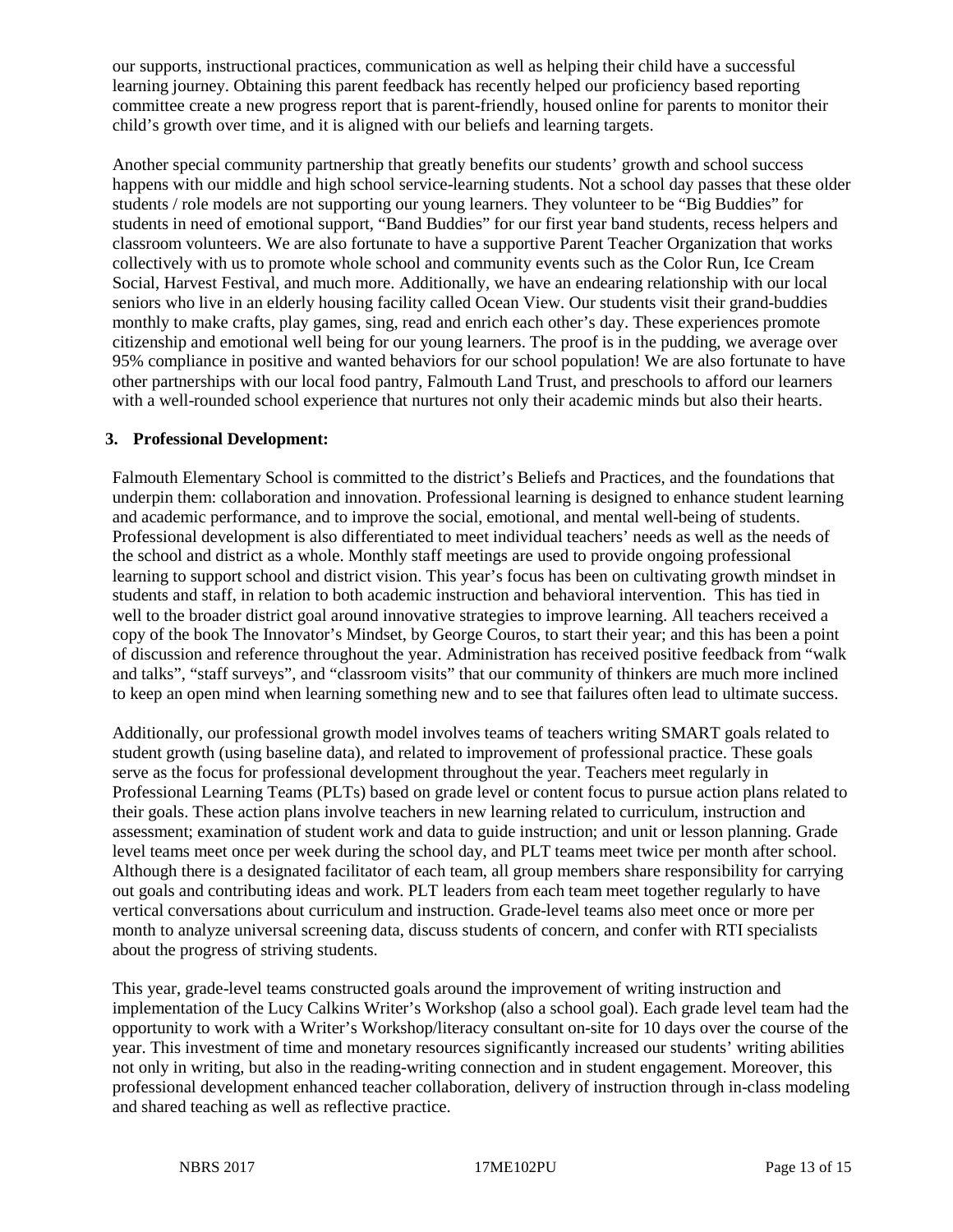our supports, instructional practices, communication as well as helping their child have a successful learning journey. Obtaining this parent feedback has recently helped our proficiency based reporting committee create a new progress report that is parent-friendly, housed online for parents to monitor their child's growth over time, and it is aligned with our beliefs and learning targets.

Another special community partnership that greatly benefits our students' growth and school success happens with our middle and high school service-learning students. Not a school day passes that these older students / role models are not supporting our young learners. They volunteer to be "Big Buddies" for students in need of emotional support, "Band Buddies" for our first year band students, recess helpers and classroom volunteers. We are also fortunate to have a supportive Parent Teacher Organization that works collectively with us to promote whole school and community events such as the Color Run, Ice Cream Social, Harvest Festival, and much more. Additionally, we have an endearing relationship with our local seniors who live in an elderly housing facility called Ocean View. Our students visit their grand-buddies monthly to make crafts, play games, sing, read and enrich each other's day. These experiences promote citizenship and emotional well being for our young learners. The proof is in the pudding, we average over 95% compliance in positive and wanted behaviors for our school population! We are also fortunate to have other partnerships with our local food pantry, Falmouth Land Trust, and preschools to afford our learners with a well-rounded school experience that nurtures not only their academic minds but also their hearts.

#### **3. Professional Development:**

Falmouth Elementary School is committed to the district's Beliefs and Practices, and the foundations that underpin them: collaboration and innovation. Professional learning is designed to enhance student learning and academic performance, and to improve the social, emotional, and mental well-being of students. Professional development is also differentiated to meet individual teachers' needs as well as the needs of the school and district as a whole. Monthly staff meetings are used to provide ongoing professional learning to support school and district vision. This year's focus has been on cultivating growth mindset in students and staff, in relation to both academic instruction and behavioral intervention. This has tied in well to the broader district goal around innovative strategies to improve learning. All teachers received a copy of the book The Innovator's Mindset, by George Couros, to start their year; and this has been a point of discussion and reference throughout the year. Administration has received positive feedback from "walk and talks", "staff surveys", and "classroom visits" that our community of thinkers are much more inclined to keep an open mind when learning something new and to see that failures often lead to ultimate success.

Additionally, our professional growth model involves teams of teachers writing SMART goals related to student growth (using baseline data), and related to improvement of professional practice. These goals serve as the focus for professional development throughout the year. Teachers meet regularly in Professional Learning Teams (PLTs) based on grade level or content focus to pursue action plans related to their goals. These action plans involve teachers in new learning related to curriculum, instruction and assessment; examination of student work and data to guide instruction; and unit or lesson planning. Grade level teams meet once per week during the school day, and PLT teams meet twice per month after school. Although there is a designated facilitator of each team, all group members share responsibility for carrying out goals and contributing ideas and work. PLT leaders from each team meet together regularly to have vertical conversations about curriculum and instruction. Grade-level teams also meet once or more per month to analyze universal screening data, discuss students of concern, and confer with RTI specialists about the progress of striving students.

This year, grade-level teams constructed goals around the improvement of writing instruction and implementation of the Lucy Calkins Writer's Workshop (also a school goal). Each grade level team had the opportunity to work with a Writer's Workshop/literacy consultant on-site for 10 days over the course of the year. This investment of time and monetary resources significantly increased our students' writing abilities not only in writing, but also in the reading-writing connection and in student engagement. Moreover, this professional development enhanced teacher collaboration, delivery of instruction through in-class modeling and shared teaching as well as reflective practice.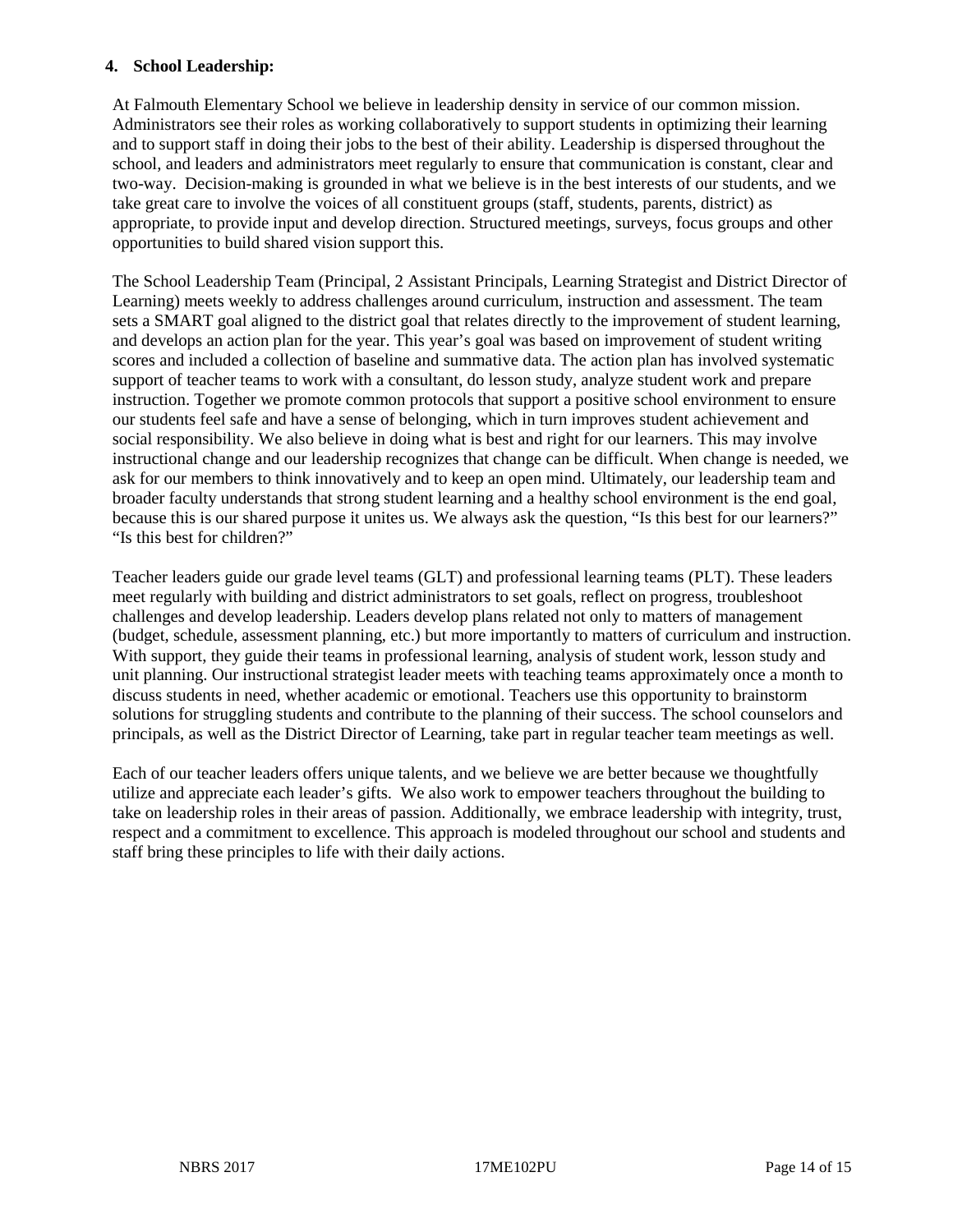#### **4. School Leadership:**

At Falmouth Elementary School we believe in leadership density in service of our common mission. Administrators see their roles as working collaboratively to support students in optimizing their learning and to support staff in doing their jobs to the best of their ability. Leadership is dispersed throughout the school, and leaders and administrators meet regularly to ensure that communication is constant, clear and two-way. Decision-making is grounded in what we believe is in the best interests of our students, and we take great care to involve the voices of all constituent groups (staff, students, parents, district) as appropriate, to provide input and develop direction. Structured meetings, surveys, focus groups and other opportunities to build shared vision support this.

The School Leadership Team (Principal, 2 Assistant Principals, Learning Strategist and District Director of Learning) meets weekly to address challenges around curriculum, instruction and assessment. The team sets a SMART goal aligned to the district goal that relates directly to the improvement of student learning, and develops an action plan for the year. This year's goal was based on improvement of student writing scores and included a collection of baseline and summative data. The action plan has involved systematic support of teacher teams to work with a consultant, do lesson study, analyze student work and prepare instruction. Together we promote common protocols that support a positive school environment to ensure our students feel safe and have a sense of belonging, which in turn improves student achievement and social responsibility. We also believe in doing what is best and right for our learners. This may involve instructional change and our leadership recognizes that change can be difficult. When change is needed, we ask for our members to think innovatively and to keep an open mind. Ultimately, our leadership team and broader faculty understands that strong student learning and a healthy school environment is the end goal, because this is our shared purpose it unites us. We always ask the question, "Is this best for our learners?" "Is this best for children?"

Teacher leaders guide our grade level teams (GLT) and professional learning teams (PLT). These leaders meet regularly with building and district administrators to set goals, reflect on progress, troubleshoot challenges and develop leadership. Leaders develop plans related not only to matters of management (budget, schedule, assessment planning, etc.) but more importantly to matters of curriculum and instruction. With support, they guide their teams in professional learning, analysis of student work, lesson study and unit planning. Our instructional strategist leader meets with teaching teams approximately once a month to discuss students in need, whether academic or emotional. Teachers use this opportunity to brainstorm solutions for struggling students and contribute to the planning of their success. The school counselors and principals, as well as the District Director of Learning, take part in regular teacher team meetings as well.

Each of our teacher leaders offers unique talents, and we believe we are better because we thoughtfully utilize and appreciate each leader's gifts. We also work to empower teachers throughout the building to take on leadership roles in their areas of passion. Additionally, we embrace leadership with integrity, trust, respect and a commitment to excellence. This approach is modeled throughout our school and students and staff bring these principles to life with their daily actions.